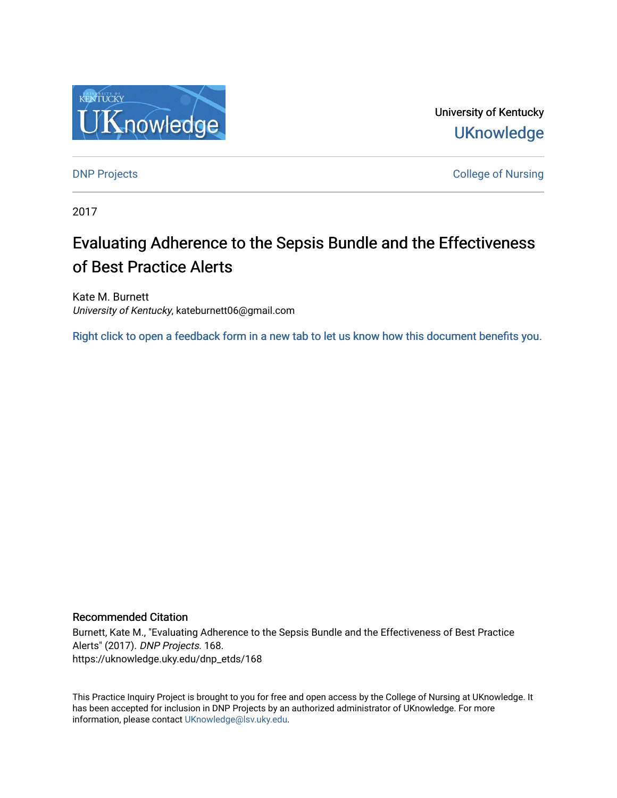

University of Kentucky **UKnowledge** 

[DNP Projects](https://uknowledge.uky.edu/dnp_etds) **College of Nursing** 

2017

# Evaluating Adherence to the Sepsis Bundle and the Effectiveness of Best Practice Alerts

Kate M. Burnett University of Kentucky, kateburnett06@gmail.com

[Right click to open a feedback form in a new tab to let us know how this document benefits you.](https://uky.az1.qualtrics.com/jfe/form/SV_9mq8fx2GnONRfz7)

## Recommended Citation

Burnett, Kate M., "Evaluating Adherence to the Sepsis Bundle and the Effectiveness of Best Practice Alerts" (2017). DNP Projects. 168. https://uknowledge.uky.edu/dnp\_etds/168

This Practice Inquiry Project is brought to you for free and open access by the College of Nursing at UKnowledge. It has been accepted for inclusion in DNP Projects by an authorized administrator of UKnowledge. For more information, please contact [UKnowledge@lsv.uky.edu](mailto:UKnowledge@lsv.uky.edu).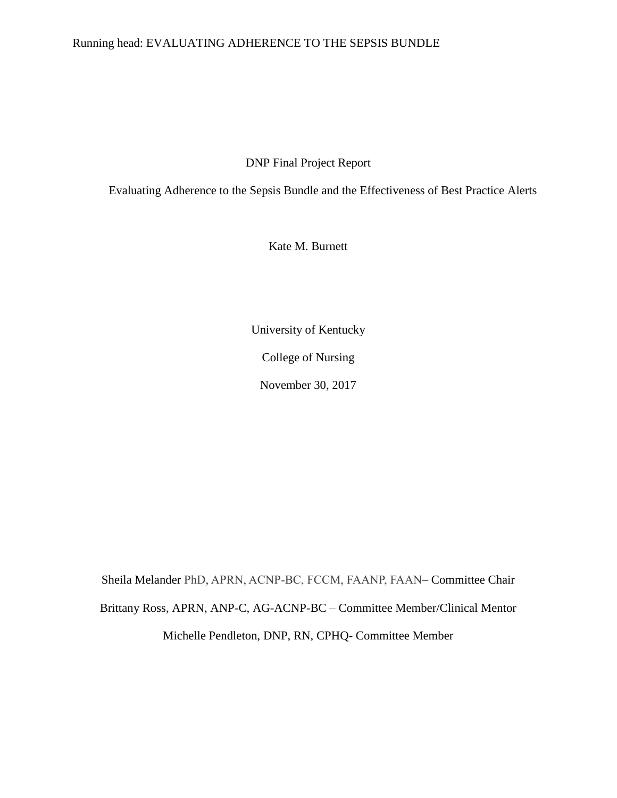## Running head: EVALUATING ADHERENCE TO THE SEPSIS BUNDLE

DNP Final Project Report

Evaluating Adherence to the Sepsis Bundle and the Effectiveness of Best Practice Alerts

Kate M. Burnett

University of Kentucky College of Nursing November 30, 2017

Sheila Melander PhD, APRN, ACNP-BC, FCCM, FAANP, FAAN– Committee Chair Brittany Ross, APRN, ANP-C, AG-ACNP-BC – Committee Member/Clinical Mentor Michelle Pendleton, DNP, RN, CPHQ- Committee Member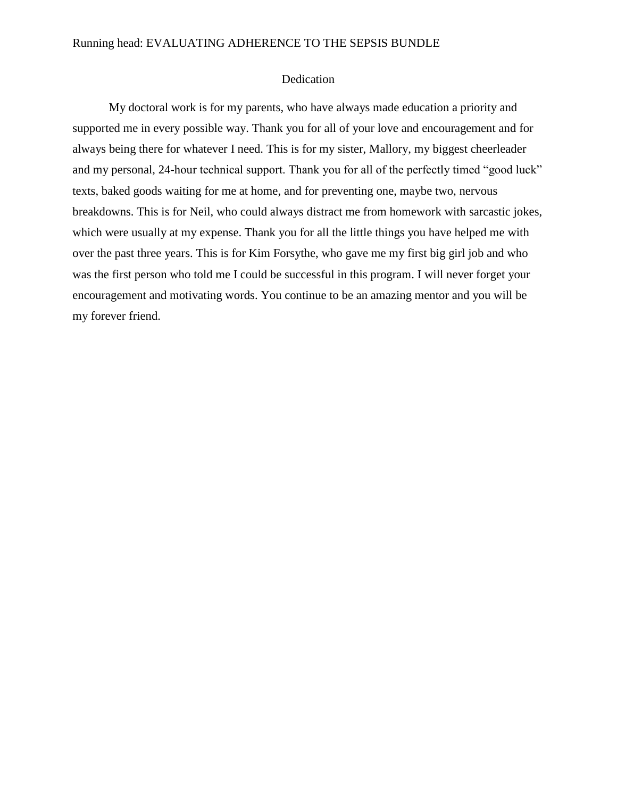#### Running head: EVALUATING ADHERENCE TO THE SEPSIS BUNDLE

## Dedication

My doctoral work is for my parents, who have always made education a priority and supported me in every possible way. Thank you for all of your love and encouragement and for always being there for whatever I need. This is for my sister, Mallory, my biggest cheerleader and my personal, 24-hour technical support. Thank you for all of the perfectly timed "good luck" texts, baked goods waiting for me at home, and for preventing one, maybe two, nervous breakdowns. This is for Neil, who could always distract me from homework with sarcastic jokes, which were usually at my expense. Thank you for all the little things you have helped me with over the past three years. This is for Kim Forsythe, who gave me my first big girl job and who was the first person who told me I could be successful in this program. I will never forget your encouragement and motivating words. You continue to be an amazing mentor and you will be my forever friend.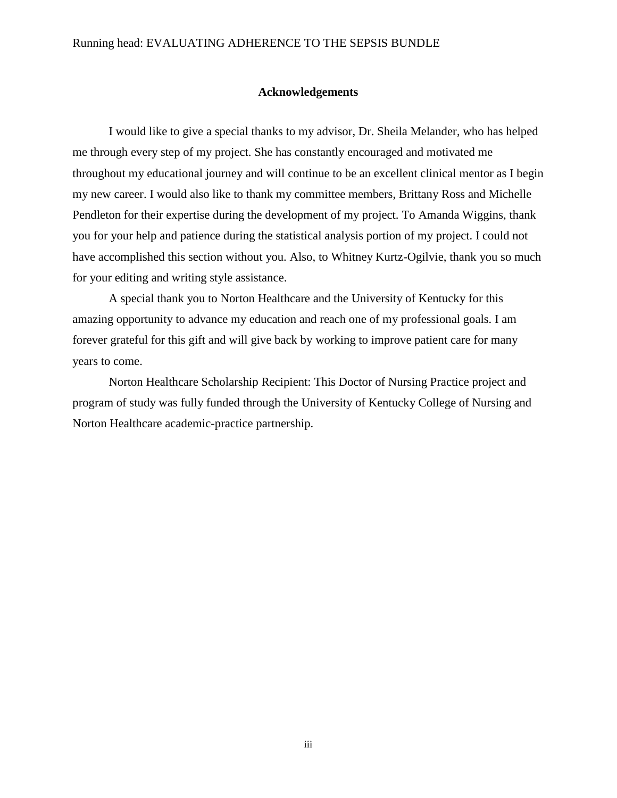## **Acknowledgements**

I would like to give a special thanks to my advisor, Dr. Sheila Melander, who has helped me through every step of my project. She has constantly encouraged and motivated me throughout my educational journey and will continue to be an excellent clinical mentor as I begin my new career. I would also like to thank my committee members, Brittany Ross and Michelle Pendleton for their expertise during the development of my project. To Amanda Wiggins, thank you for your help and patience during the statistical analysis portion of my project. I could not have accomplished this section without you. Also, to Whitney Kurtz-Ogilvie, thank you so much for your editing and writing style assistance.

A special thank you to Norton Healthcare and the University of Kentucky for this amazing opportunity to advance my education and reach one of my professional goals. I am forever grateful for this gift and will give back by working to improve patient care for many years to come.

Norton Healthcare Scholarship Recipient: This Doctor of Nursing Practice project and program of study was fully funded through the University of Kentucky College of Nursing and Norton Healthcare academic-practice partnership.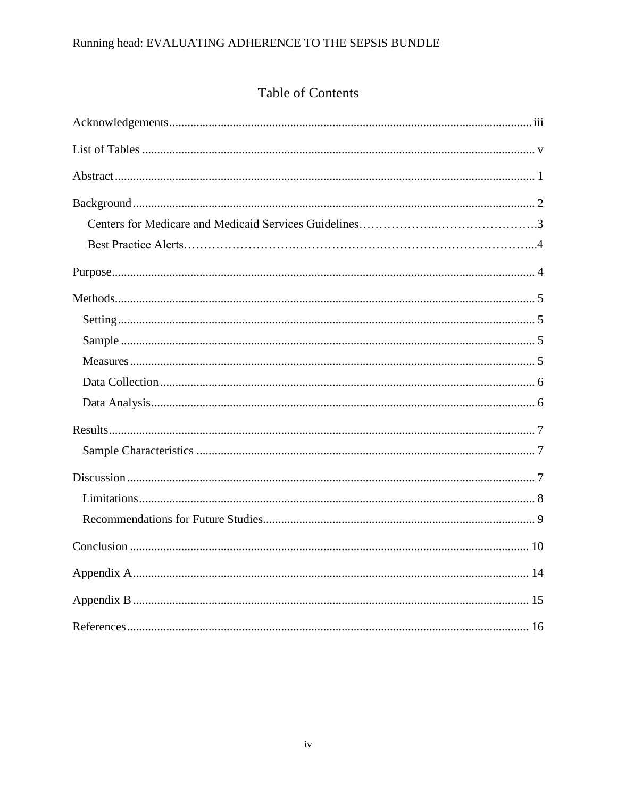# Running head: EVALUATING ADHERENCE TO THE SEPSIS BUNDLE

# Table of Contents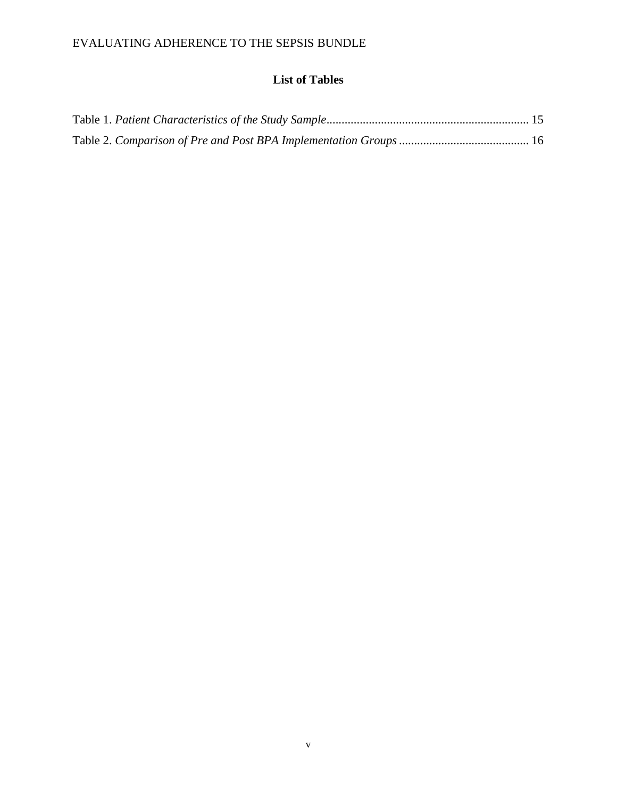# **List of Tables**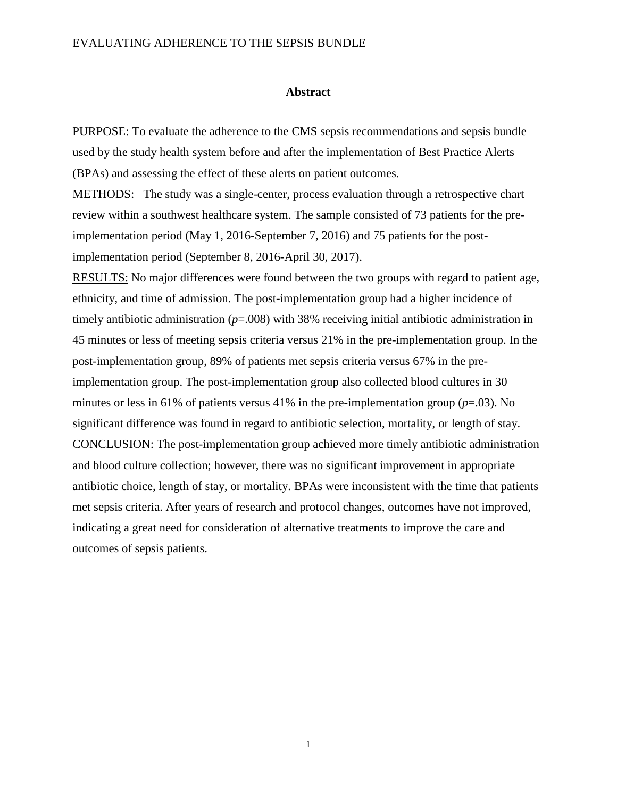#### **Abstract**

PURPOSE: To evaluate the adherence to the CMS sepsis recommendations and sepsis bundle used by the study health system before and after the implementation of Best Practice Alerts (BPAs) and assessing the effect of these alerts on patient outcomes.

METHODS: The study was a single-center, process evaluation through a retrospective chart review within a southwest healthcare system. The sample consisted of 73 patients for the preimplementation period (May 1, 2016-September 7, 2016) and 75 patients for the postimplementation period (September 8, 2016-April 30, 2017).

RESULTS: No major differences were found between the two groups with regard to patient age, ethnicity, and time of admission. The post-implementation group had a higher incidence of timely antibiotic administration (*p*=.008) with 38% receiving initial antibiotic administration in 45 minutes or less of meeting sepsis criteria versus 21% in the pre-implementation group. In the post-implementation group, 89% of patients met sepsis criteria versus 67% in the preimplementation group. The post-implementation group also collected blood cultures in 30 minutes or less in 61% of patients versus 41% in the pre-implementation group  $(p=.03)$ . No significant difference was found in regard to antibiotic selection, mortality, or length of stay. CONCLUSION: The post-implementation group achieved more timely antibiotic administration and blood culture collection; however, there was no significant improvement in appropriate antibiotic choice, length of stay, or mortality. BPAs were inconsistent with the time that patients met sepsis criteria. After years of research and protocol changes, outcomes have not improved, indicating a great need for consideration of alternative treatments to improve the care and outcomes of sepsis patients.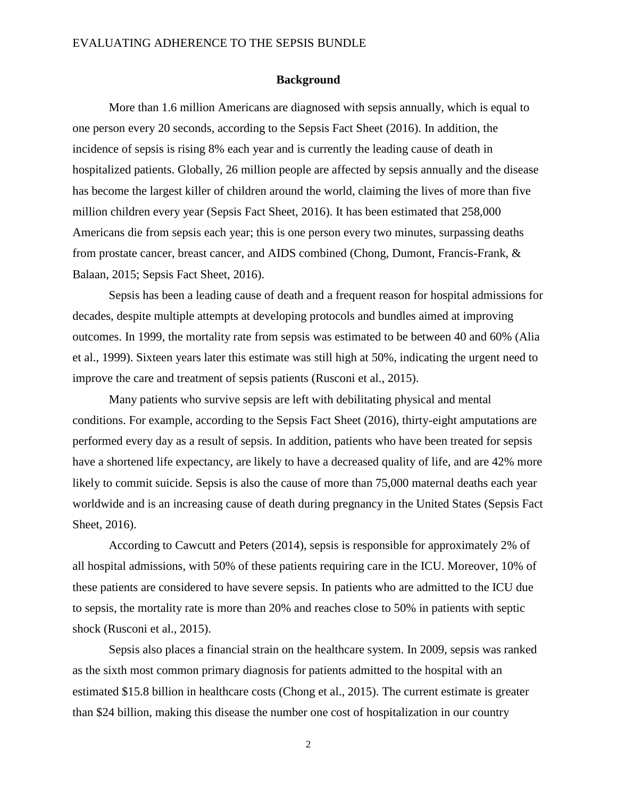#### **Background**

More than 1.6 million Americans are diagnosed with sepsis annually, which is equal to one person every 20 seconds, according to the Sepsis Fact Sheet (2016). In addition, the incidence of sepsis is rising 8% each year and is currently the leading cause of death in hospitalized patients. Globally, 26 million people are affected by sepsis annually and the disease has become the largest killer of children around the world, claiming the lives of more than five million children every year (Sepsis Fact Sheet, 2016). It has been estimated that 258,000 Americans die from sepsis each year; this is one person every two minutes, surpassing deaths from prostate cancer, breast cancer, and AIDS combined (Chong, Dumont, Francis-Frank, & Balaan, 2015; Sepsis Fact Sheet, 2016).

Sepsis has been a leading cause of death and a frequent reason for hospital admissions for decades, despite multiple attempts at developing protocols and bundles aimed at improving outcomes. In 1999, the mortality rate from sepsis was estimated to be between 40 and 60% (Alia et al., 1999). Sixteen years later this estimate was still high at 50%, indicating the urgent need to improve the care and treatment of sepsis patients (Rusconi et al., 2015).

Many patients who survive sepsis are left with debilitating physical and mental conditions. For example, according to the Sepsis Fact Sheet (2016), thirty-eight amputations are performed every day as a result of sepsis. In addition, patients who have been treated for sepsis have a shortened life expectancy, are likely to have a decreased quality of life, and are 42% more likely to commit suicide. Sepsis is also the cause of more than 75,000 maternal deaths each year worldwide and is an increasing cause of death during pregnancy in the United States (Sepsis Fact Sheet, 2016).

According to Cawcutt and Peters (2014), sepsis is responsible for approximately 2% of all hospital admissions, with 50% of these patients requiring care in the ICU. Moreover, 10% of these patients are considered to have severe sepsis. In patients who are admitted to the ICU due to sepsis, the mortality rate is more than 20% and reaches close to 50% in patients with septic shock (Rusconi et al., 2015).

Sepsis also places a financial strain on the healthcare system. In 2009, sepsis was ranked as the sixth most common primary diagnosis for patients admitted to the hospital with an estimated \$15.8 billion in healthcare costs (Chong et al., 2015). The current estimate is greater than \$24 billion, making this disease the number one cost of hospitalization in our country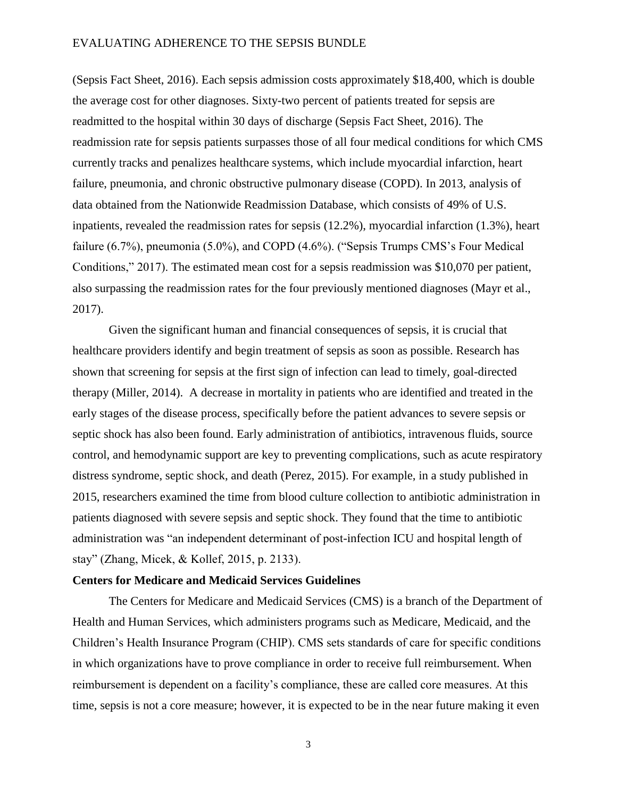(Sepsis Fact Sheet, 2016). Each sepsis admission costs approximately \$18,400, which is double the average cost for other diagnoses. Sixty-two percent of patients treated for sepsis are readmitted to the hospital within 30 days of discharge (Sepsis Fact Sheet, 2016). The readmission rate for sepsis patients surpasses those of all four medical conditions for which CMS currently tracks and penalizes healthcare systems, which include myocardial infarction, heart failure, pneumonia, and chronic obstructive pulmonary disease (COPD). In 2013, analysis of data obtained from the Nationwide Readmission Database, which consists of 49% of U.S. inpatients, revealed the readmission rates for sepsis (12.2%), myocardial infarction (1.3%), heart failure (6.7%), pneumonia (5.0%), and COPD (4.6%). ("Sepsis Trumps CMS's Four Medical Conditions," 2017). The estimated mean cost for a sepsis readmission was \$10,070 per patient, also surpassing the readmission rates for the four previously mentioned diagnoses (Mayr et al., 2017).

Given the significant human and financial consequences of sepsis, it is crucial that healthcare providers identify and begin treatment of sepsis as soon as possible. Research has shown that screening for sepsis at the first sign of infection can lead to timely, goal-directed therapy (Miller, 2014). A decrease in mortality in patients who are identified and treated in the early stages of the disease process, specifically before the patient advances to severe sepsis or septic shock has also been found. Early administration of antibiotics, intravenous fluids, source control, and hemodynamic support are key to preventing complications, such as acute respiratory distress syndrome, septic shock, and death (Perez, 2015). For example, in a study published in 2015, researchers examined the time from blood culture collection to antibiotic administration in patients diagnosed with severe sepsis and septic shock. They found that the time to antibiotic administration was "an independent determinant of post-infection ICU and hospital length of stay" (Zhang, Micek, & Kollef, 2015, p. 2133).

#### **Centers for Medicare and Medicaid Services Guidelines**

The Centers for Medicare and Medicaid Services (CMS) is a branch of the Department of Health and Human Services, which administers programs such as Medicare, Medicaid, and the Children's Health Insurance Program (CHIP). CMS sets standards of care for specific conditions in which organizations have to prove compliance in order to receive full reimbursement. When reimbursement is dependent on a facility's compliance, these are called core measures. At this time, sepsis is not a core measure; however, it is expected to be in the near future making it even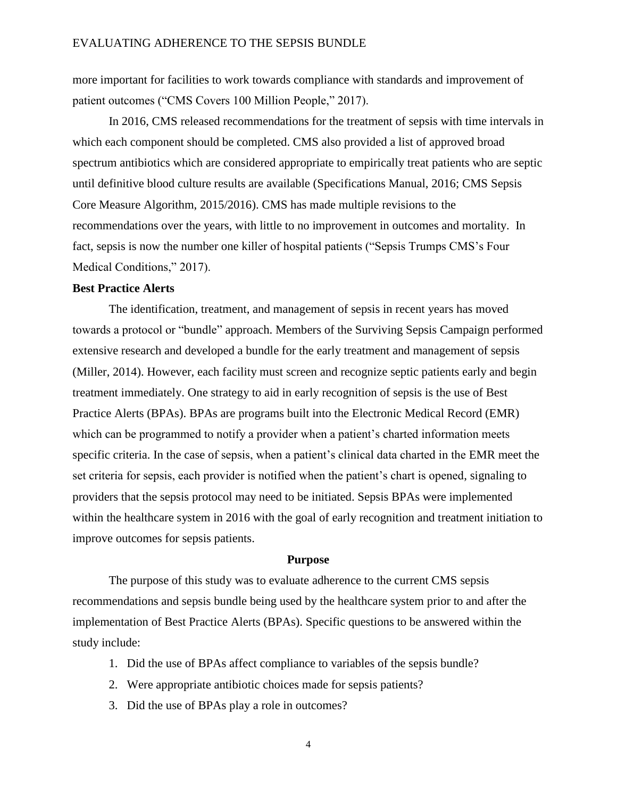more important for facilities to work towards compliance with standards and improvement of patient outcomes ("CMS Covers 100 Million People," 2017).

In 2016, CMS released recommendations for the treatment of sepsis with time intervals in which each component should be completed. CMS also provided a list of approved broad spectrum antibiotics which are considered appropriate to empirically treat patients who are septic until definitive blood culture results are available (Specifications Manual, 2016; CMS Sepsis Core Measure Algorithm, 2015/2016). CMS has made multiple revisions to the recommendations over the years, with little to no improvement in outcomes and mortality. In fact, sepsis is now the number one killer of hospital patients ("Sepsis Trumps CMS's Four Medical Conditions," 2017).

## **Best Practice Alerts**

The identification, treatment, and management of sepsis in recent years has moved towards a protocol or "bundle" approach. Members of the Surviving Sepsis Campaign performed extensive research and developed a bundle for the early treatment and management of sepsis (Miller, 2014). However, each facility must screen and recognize septic patients early and begin treatment immediately. One strategy to aid in early recognition of sepsis is the use of Best Practice Alerts (BPAs). BPAs are programs built into the Electronic Medical Record (EMR) which can be programmed to notify a provider when a patient's charted information meets specific criteria. In the case of sepsis, when a patient's clinical data charted in the EMR meet the set criteria for sepsis, each provider is notified when the patient's chart is opened, signaling to providers that the sepsis protocol may need to be initiated. Sepsis BPAs were implemented within the healthcare system in 2016 with the goal of early recognition and treatment initiation to improve outcomes for sepsis patients.

#### **Purpose**

The purpose of this study was to evaluate adherence to the current CMS sepsis recommendations and sepsis bundle being used by the healthcare system prior to and after the implementation of Best Practice Alerts (BPAs). Specific questions to be answered within the study include:

- 1. Did the use of BPAs affect compliance to variables of the sepsis bundle?
- 2. Were appropriate antibiotic choices made for sepsis patients?
- 3. Did the use of BPAs play a role in outcomes?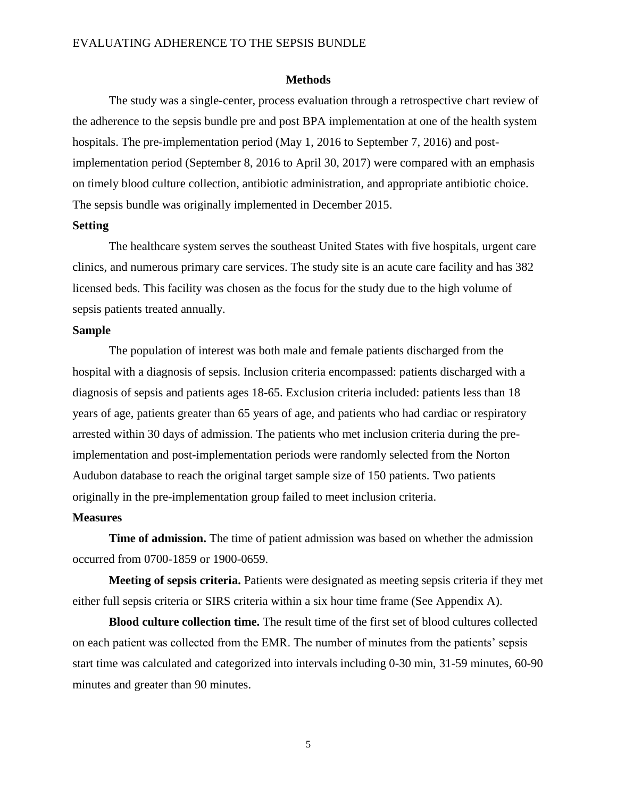#### **Methods**

The study was a single-center, process evaluation through a retrospective chart review of the adherence to the sepsis bundle pre and post BPA implementation at one of the health system hospitals. The pre-implementation period (May 1, 2016 to September 7, 2016) and postimplementation period (September 8, 2016 to April 30, 2017) were compared with an emphasis on timely blood culture collection, antibiotic administration, and appropriate antibiotic choice. The sepsis bundle was originally implemented in December 2015.

#### **Setting**

The healthcare system serves the southeast United States with five hospitals, urgent care clinics, and numerous primary care services. The study site is an acute care facility and has 382 licensed beds. This facility was chosen as the focus for the study due to the high volume of sepsis patients treated annually.

### **Sample**

The population of interest was both male and female patients discharged from the hospital with a diagnosis of sepsis. Inclusion criteria encompassed: patients discharged with a diagnosis of sepsis and patients ages 18-65. Exclusion criteria included: patients less than 18 years of age, patients greater than 65 years of age, and patients who had cardiac or respiratory arrested within 30 days of admission. The patients who met inclusion criteria during the preimplementation and post-implementation periods were randomly selected from the Norton Audubon database to reach the original target sample size of 150 patients. Two patients originally in the pre-implementation group failed to meet inclusion criteria.

## **Measures**

**Time of admission.** The time of patient admission was based on whether the admission occurred from 0700-1859 or 1900-0659.

**Meeting of sepsis criteria.** Patients were designated as meeting sepsis criteria if they met either full sepsis criteria or SIRS criteria within a six hour time frame (See Appendix A).

**Blood culture collection time.** The result time of the first set of blood cultures collected on each patient was collected from the EMR. The number of minutes from the patients' sepsis start time was calculated and categorized into intervals including 0-30 min, 31-59 minutes, 60-90 minutes and greater than 90 minutes.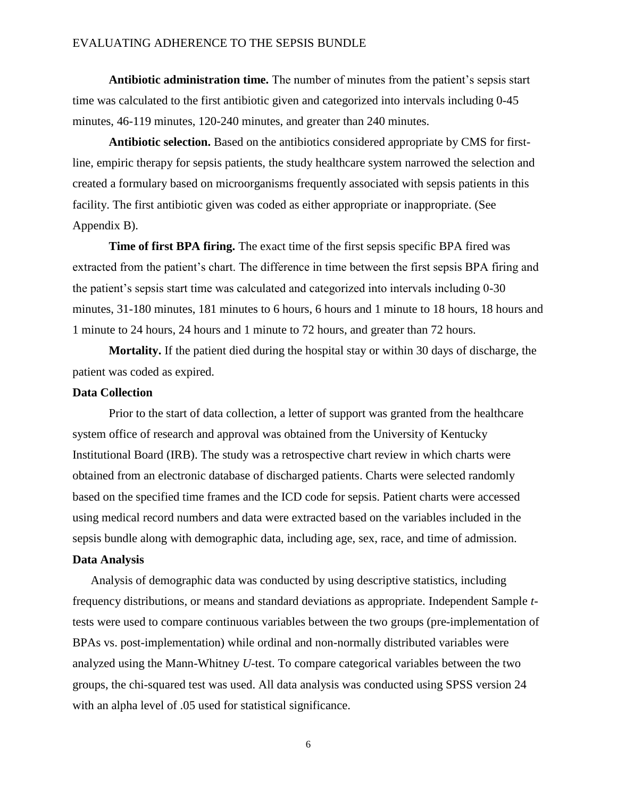**Antibiotic administration time.** The number of minutes from the patient's sepsis start time was calculated to the first antibiotic given and categorized into intervals including 0-45 minutes, 46-119 minutes, 120-240 minutes, and greater than 240 minutes.

**Antibiotic selection.** Based on the antibiotics considered appropriate by CMS for firstline, empiric therapy for sepsis patients, the study healthcare system narrowed the selection and created a formulary based on microorganisms frequently associated with sepsis patients in this facility. The first antibiotic given was coded as either appropriate or inappropriate. (See Appendix B).

**Time of first BPA firing.** The exact time of the first sepsis specific BPA fired was extracted from the patient's chart. The difference in time between the first sepsis BPA firing and the patient's sepsis start time was calculated and categorized into intervals including 0-30 minutes, 31-180 minutes, 181 minutes to 6 hours, 6 hours and 1 minute to 18 hours, 18 hours and 1 minute to 24 hours, 24 hours and 1 minute to 72 hours, and greater than 72 hours.

**Mortality.** If the patient died during the hospital stay or within 30 days of discharge, the patient was coded as expired.

#### **Data Collection**

Prior to the start of data collection, a letter of support was granted from the healthcare system office of research and approval was obtained from the University of Kentucky Institutional Board (IRB). The study was a retrospective chart review in which charts were obtained from an electronic database of discharged patients. Charts were selected randomly based on the specified time frames and the ICD code for sepsis. Patient charts were accessed using medical record numbers and data were extracted based on the variables included in the sepsis bundle along with demographic data, including age, sex, race, and time of admission.

## **Data Analysis**

Analysis of demographic data was conducted by using descriptive statistics, including frequency distributions, or means and standard deviations as appropriate. Independent Sample *t*tests were used to compare continuous variables between the two groups (pre-implementation of BPAs vs. post-implementation) while ordinal and non-normally distributed variables were analyzed using the Mann-Whitney *U*-test. To compare categorical variables between the two groups, the chi-squared test was used. All data analysis was conducted using SPSS version 24 with an alpha level of  $.05$  used for statistical significance.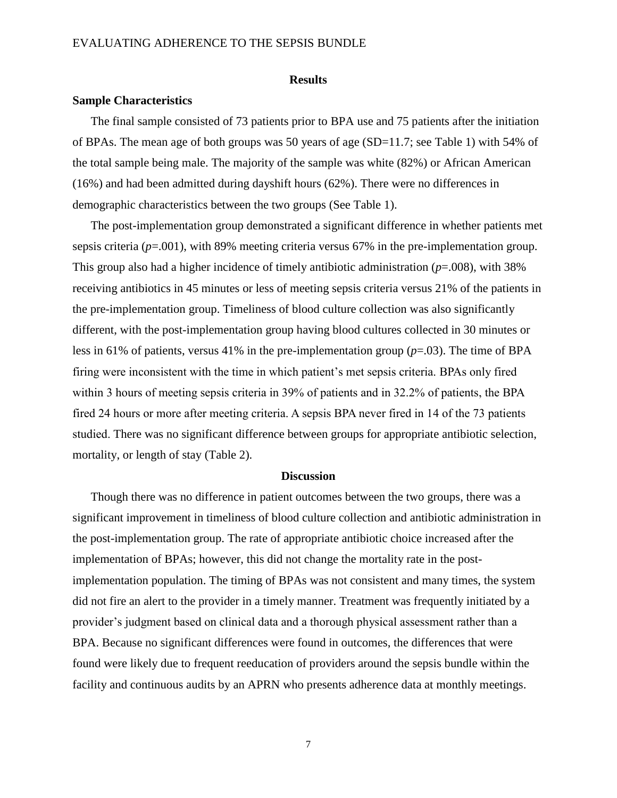#### **Results**

#### **Sample Characteristics**

The final sample consisted of 73 patients prior to BPA use and 75 patients after the initiation of BPAs. The mean age of both groups was 50 years of age (SD=11.7; see Table 1) with 54% of the total sample being male. The majority of the sample was white (82%) or African American (16%) and had been admitted during dayshift hours (62%). There were no differences in demographic characteristics between the two groups (See Table 1).

The post-implementation group demonstrated a significant difference in whether patients met sepsis criteria (*p*=.001), with 89% meeting criteria versus 67% in the pre-implementation group. This group also had a higher incidence of timely antibiotic administration (*p*=.008), with 38% receiving antibiotics in 45 minutes or less of meeting sepsis criteria versus 21% of the patients in the pre-implementation group. Timeliness of blood culture collection was also significantly different, with the post-implementation group having blood cultures collected in 30 minutes or less in 61% of patients, versus 41% in the pre-implementation group  $(p=0.03)$ . The time of BPA firing were inconsistent with the time in which patient's met sepsis criteria. BPAs only fired within 3 hours of meeting sepsis criteria in 39% of patients and in 32.2% of patients, the BPA fired 24 hours or more after meeting criteria. A sepsis BPA never fired in 14 of the 73 patients studied. There was no significant difference between groups for appropriate antibiotic selection, mortality, or length of stay (Table 2).

#### **Discussion**

Though there was no difference in patient outcomes between the two groups, there was a significant improvement in timeliness of blood culture collection and antibiotic administration in the post-implementation group. The rate of appropriate antibiotic choice increased after the implementation of BPAs; however, this did not change the mortality rate in the postimplementation population. The timing of BPAs was not consistent and many times, the system did not fire an alert to the provider in a timely manner. Treatment was frequently initiated by a provider's judgment based on clinical data and a thorough physical assessment rather than a BPA. Because no significant differences were found in outcomes, the differences that were found were likely due to frequent reeducation of providers around the sepsis bundle within the facility and continuous audits by an APRN who presents adherence data at monthly meetings.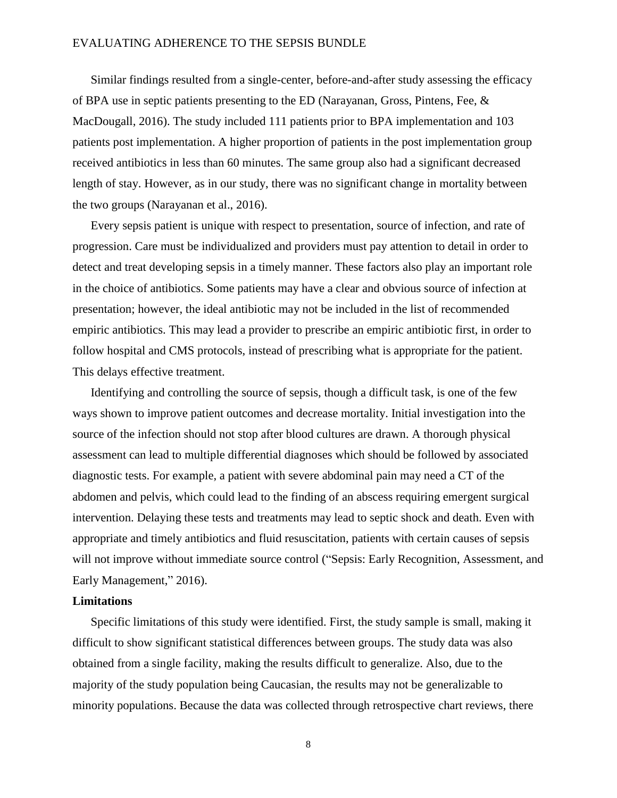Similar findings resulted from a single-center, before-and-after study assessing the efficacy of BPA use in septic patients presenting to the ED (Narayanan, Gross, Pintens, Fee, & MacDougall, 2016). The study included 111 patients prior to BPA implementation and 103 patients post implementation. A higher proportion of patients in the post implementation group received antibiotics in less than 60 minutes. The same group also had a significant decreased length of stay. However, as in our study, there was no significant change in mortality between the two groups (Narayanan et al., 2016).

Every sepsis patient is unique with respect to presentation, source of infection, and rate of progression. Care must be individualized and providers must pay attention to detail in order to detect and treat developing sepsis in a timely manner. These factors also play an important role in the choice of antibiotics. Some patients may have a clear and obvious source of infection at presentation; however, the ideal antibiotic may not be included in the list of recommended empiric antibiotics. This may lead a provider to prescribe an empiric antibiotic first, in order to follow hospital and CMS protocols, instead of prescribing what is appropriate for the patient. This delays effective treatment.

Identifying and controlling the source of sepsis, though a difficult task, is one of the few ways shown to improve patient outcomes and decrease mortality. Initial investigation into the source of the infection should not stop after blood cultures are drawn. A thorough physical assessment can lead to multiple differential diagnoses which should be followed by associated diagnostic tests. For example, a patient with severe abdominal pain may need a CT of the abdomen and pelvis, which could lead to the finding of an abscess requiring emergent surgical intervention. Delaying these tests and treatments may lead to septic shock and death. Even with appropriate and timely antibiotics and fluid resuscitation, patients with certain causes of sepsis will not improve without immediate source control ("Sepsis: Early Recognition, Assessment, and Early Management," 2016).

## **Limitations**

Specific limitations of this study were identified. First, the study sample is small, making it difficult to show significant statistical differences between groups. The study data was also obtained from a single facility, making the results difficult to generalize. Also, due to the majority of the study population being Caucasian, the results may not be generalizable to minority populations. Because the data was collected through retrospective chart reviews, there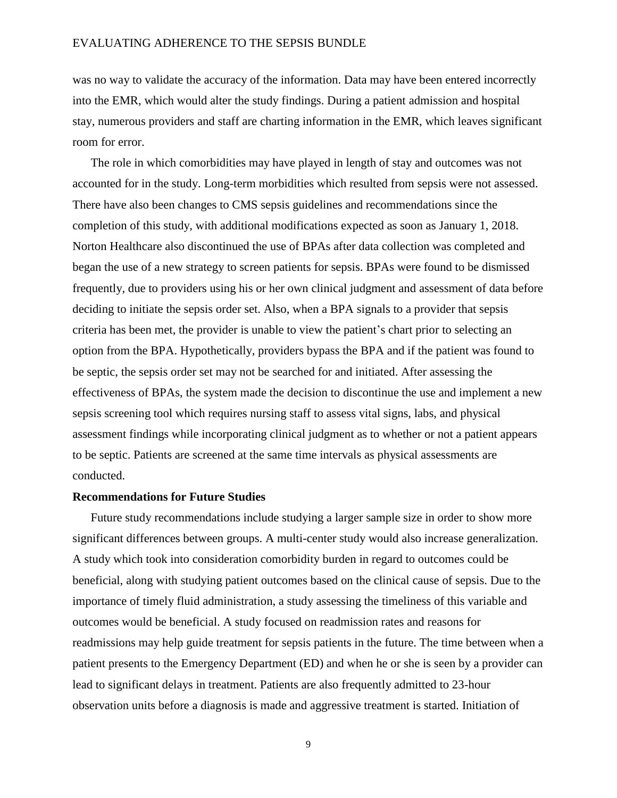was no way to validate the accuracy of the information. Data may have been entered incorrectly into the EMR, which would alter the study findings. During a patient admission and hospital stay, numerous providers and staff are charting information in the EMR, which leaves significant room for error.

The role in which comorbidities may have played in length of stay and outcomes was not accounted for in the study. Long-term morbidities which resulted from sepsis were not assessed. There have also been changes to CMS sepsis guidelines and recommendations since the completion of this study, with additional modifications expected as soon as January 1, 2018. Norton Healthcare also discontinued the use of BPAs after data collection was completed and began the use of a new strategy to screen patients for sepsis. BPAs were found to be dismissed frequently, due to providers using his or her own clinical judgment and assessment of data before deciding to initiate the sepsis order set. Also, when a BPA signals to a provider that sepsis criteria has been met, the provider is unable to view the patient's chart prior to selecting an option from the BPA. Hypothetically, providers bypass the BPA and if the patient was found to be septic, the sepsis order set may not be searched for and initiated. After assessing the effectiveness of BPAs, the system made the decision to discontinue the use and implement a new sepsis screening tool which requires nursing staff to assess vital signs, labs, and physical assessment findings while incorporating clinical judgment as to whether or not a patient appears to be septic. Patients are screened at the same time intervals as physical assessments are conducted.

#### **Recommendations for Future Studies**

Future study recommendations include studying a larger sample size in order to show more significant differences between groups. A multi-center study would also increase generalization. A study which took into consideration comorbidity burden in regard to outcomes could be beneficial, along with studying patient outcomes based on the clinical cause of sepsis. Due to the importance of timely fluid administration, a study assessing the timeliness of this variable and outcomes would be beneficial. A study focused on readmission rates and reasons for readmissions may help guide treatment for sepsis patients in the future. The time between when a patient presents to the Emergency Department (ED) and when he or she is seen by a provider can lead to significant delays in treatment. Patients are also frequently admitted to 23-hour observation units before a diagnosis is made and aggressive treatment is started. Initiation of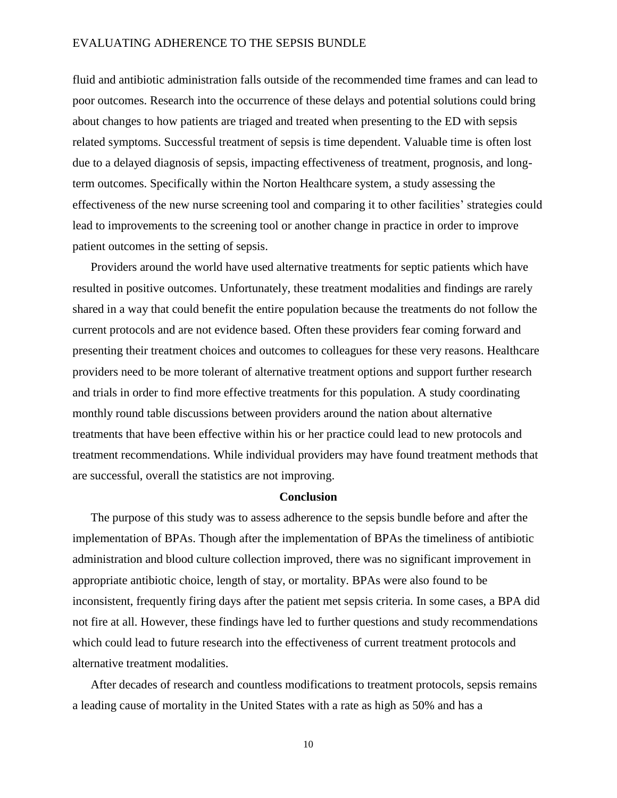fluid and antibiotic administration falls outside of the recommended time frames and can lead to poor outcomes. Research into the occurrence of these delays and potential solutions could bring about changes to how patients are triaged and treated when presenting to the ED with sepsis related symptoms. Successful treatment of sepsis is time dependent. Valuable time is often lost due to a delayed diagnosis of sepsis, impacting effectiveness of treatment, prognosis, and longterm outcomes. Specifically within the Norton Healthcare system, a study assessing the effectiveness of the new nurse screening tool and comparing it to other facilities' strategies could lead to improvements to the screening tool or another change in practice in order to improve patient outcomes in the setting of sepsis.

Providers around the world have used alternative treatments for septic patients which have resulted in positive outcomes. Unfortunately, these treatment modalities and findings are rarely shared in a way that could benefit the entire population because the treatments do not follow the current protocols and are not evidence based. Often these providers fear coming forward and presenting their treatment choices and outcomes to colleagues for these very reasons. Healthcare providers need to be more tolerant of alternative treatment options and support further research and trials in order to find more effective treatments for this population. A study coordinating monthly round table discussions between providers around the nation about alternative treatments that have been effective within his or her practice could lead to new protocols and treatment recommendations. While individual providers may have found treatment methods that are successful, overall the statistics are not improving.

#### **Conclusion**

The purpose of this study was to assess adherence to the sepsis bundle before and after the implementation of BPAs. Though after the implementation of BPAs the timeliness of antibiotic administration and blood culture collection improved, there was no significant improvement in appropriate antibiotic choice, length of stay, or mortality. BPAs were also found to be inconsistent, frequently firing days after the patient met sepsis criteria. In some cases, a BPA did not fire at all. However, these findings have led to further questions and study recommendations which could lead to future research into the effectiveness of current treatment protocols and alternative treatment modalities.

After decades of research and countless modifications to treatment protocols, sepsis remains a leading cause of mortality in the United States with a rate as high as 50% and has a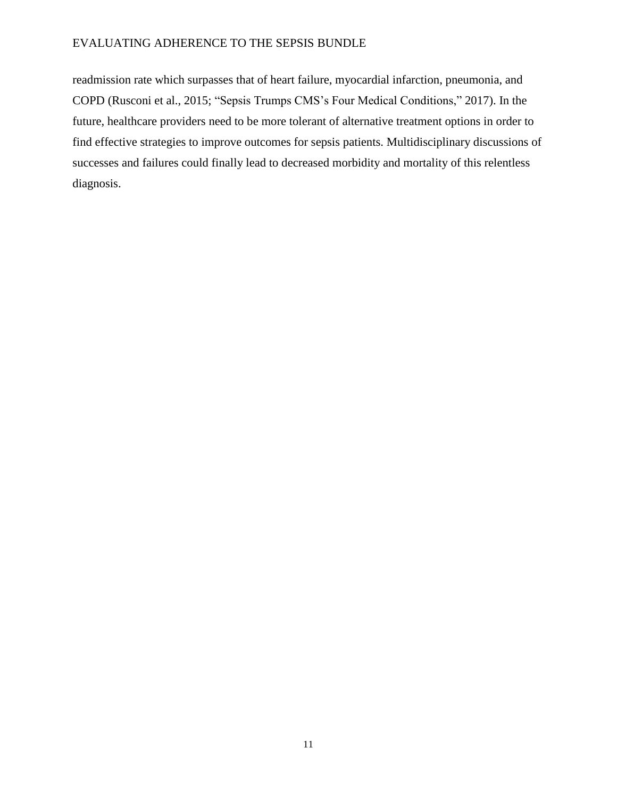readmission rate which surpasses that of heart failure, myocardial infarction, pneumonia, and COPD (Rusconi et al., 2015; "Sepsis Trumps CMS's Four Medical Conditions," 2017). In the future, healthcare providers need to be more tolerant of alternative treatment options in order to find effective strategies to improve outcomes for sepsis patients. Multidisciplinary discussions of successes and failures could finally lead to decreased morbidity and mortality of this relentless diagnosis.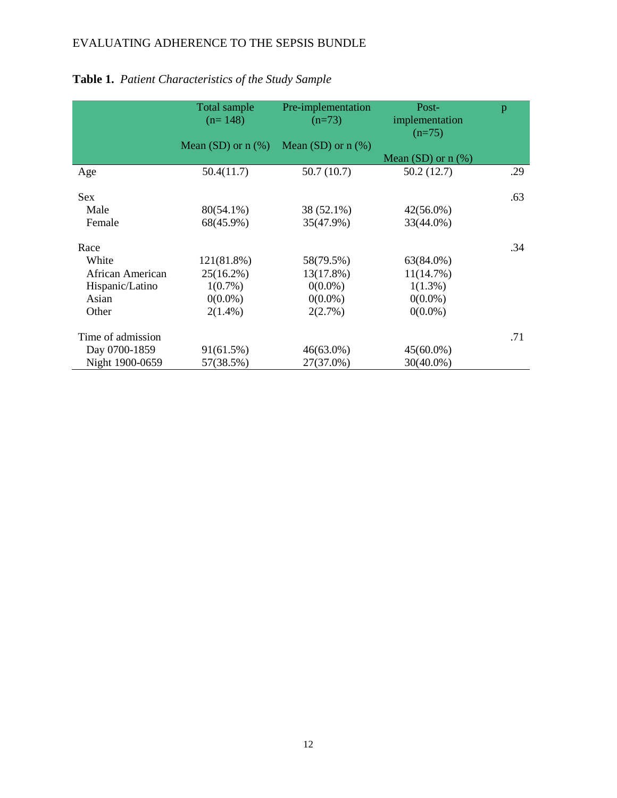|                   | Total sample<br>$(n=148)$ | Pre-implementation<br>$(n=73)$ | Post-<br>implementation<br>$(n=75)$ | p   |
|-------------------|---------------------------|--------------------------------|-------------------------------------|-----|
|                   | Mean $(SD)$ or $n$ $(\%)$ | Mean (SD) or $n$ (%)           |                                     |     |
|                   |                           |                                | Mean $(SD)$ or $n$ $(\%)$           |     |
| Age               | 50.4(11.7)                | 50.7(10.7)                     | 50.2(12.7)                          | .29 |
|                   |                           |                                |                                     |     |
| <b>Sex</b>        |                           |                                |                                     | .63 |
| Male              | 80(54.1%)                 | 38 (52.1%)                     | $42(56.0\%)$                        |     |
| Female            | 68(45.9%)                 | 35(47.9%)                      | 33(44.0%)                           |     |
|                   |                           |                                |                                     |     |
| Race              |                           |                                |                                     | .34 |
| White             | 121(81.8%)                | 58(79.5%)                      | 63(84.0%)                           |     |
| African American  | $25(16.2\%)$              | $13(17.8\%)$                   | 11(14.7%)                           |     |
| Hispanic/Latino   | $1(0.7\%)$                | $0(0.0\%)$                     | $1(1.3\%)$                          |     |
| Asian             | $0(0.0\%)$                | $0(0.0\%)$                     | $0(0.0\%)$                          |     |
| Other             | $2(1.4\%)$                | 2(2.7%)                        | $0(0.0\%)$                          |     |
|                   |                           |                                |                                     |     |
| Time of admission |                           |                                |                                     | .71 |
| Day 0700-1859     | 91(61.5%)                 | $46(63.0\%)$                   | $45(60.0\%)$                        |     |
| Night 1900-0659   | 57(38.5%)                 | 27(37.0%)                      | 30(40.0%)                           |     |

# **Table 1.** *Patient Characteristics of the Study Sample*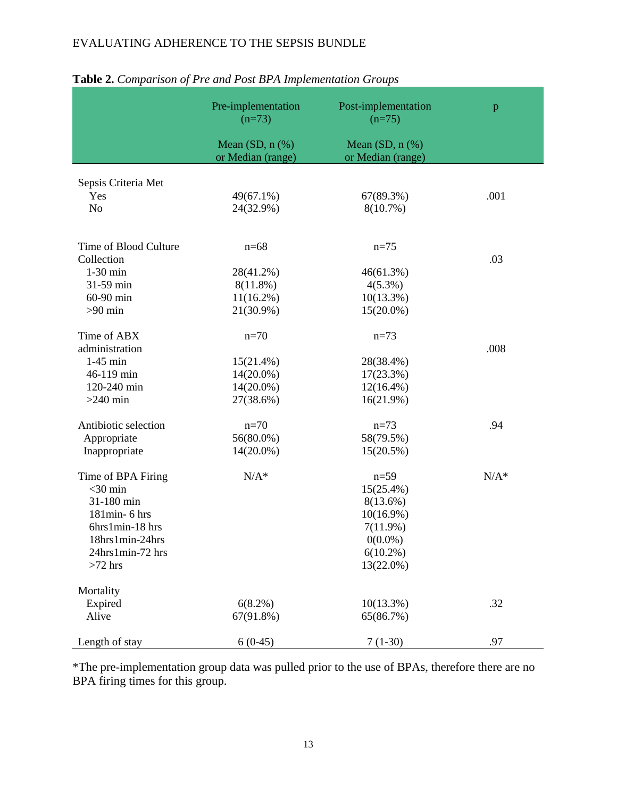|                       | Pre-implementation<br>$(n=73)$         | Post-implementation<br>$(n=75)$        | p       |
|-----------------------|----------------------------------------|----------------------------------------|---------|
|                       | Mean $(SD, n$ $%$<br>or Median (range) | Mean $(SD, n$ $%$<br>or Median (range) |         |
| Sepsis Criteria Met   |                                        |                                        |         |
| Yes                   | 49(67.1%)                              | 67(89.3%)                              | .001    |
| N <sub>o</sub>        | 24(32.9%)                              | 8(10.7%)                               |         |
| Time of Blood Culture | $n=68$                                 | $n=75$                                 |         |
| Collection            |                                        |                                        | .03     |
| $1-30$ min            | 28(41.2%)                              | 46(61.3%)                              |         |
| 31-59 min             | $8(11.8\%)$                            | $4(5.3\%)$                             |         |
| 60-90 min             | $11(16.2\%)$                           | $10(13.3\%)$                           |         |
| $>90$ min             | 21(30.9%)                              | $15(20.0\%)$                           |         |
| Time of ABX           | $n=70$                                 | $n=73$                                 |         |
| administration        |                                        |                                        | .008    |
| $1-45$ min            | 15(21.4%)                              | 28(38.4%)                              |         |
| 46-119 min            | $14(20.0\%)$                           | $17(23.3\%)$                           |         |
| 120-240 min           | $14(20.0\%)$                           | $12(16.4\%)$                           |         |
| $>240$ min            | 27(38.6%)                              | 16(21.9%)                              |         |
| Antibiotic selection  | $n=70$                                 | $n=73$                                 | .94     |
| Appropriate           | $56(80.0\%)$                           | 58(79.5%)                              |         |
| Inappropriate         | $14(20.0\%)$                           | 15(20.5%)                              |         |
| Time of BPA Firing    | $N/A^*$                                | $n=59$                                 | $N/A^*$ |
| $<$ 30 min            |                                        | $15(25.4\%)$                           |         |
| 31-180 min            |                                        | $8(13.6\%)$                            |         |
| 181min- 6 hrs         |                                        | $10(16.9\%)$                           |         |
| 6hrs1min-18 hrs       |                                        | 7(11.9%)                               |         |
| 18hrs1min-24hrs       |                                        | $0(0.0\%)$                             |         |
| 24hrs1min-72 hrs      |                                        | $6(10.2\%)$                            |         |
| $>72$ hrs             |                                        | 13(22.0%)                              |         |
| Mortality             |                                        |                                        |         |
| Expired               | $6(8.2\%)$                             | $10(13.3\%)$                           | .32     |
| Alive                 | 67(91.8%)                              | 65(86.7%)                              |         |
| Length of stay        | $6(0-45)$                              | $7(1-30)$                              | .97     |

## **Table 2.** *Comparison of Pre and Post BPA Implementation Groups*

\*The pre-implementation group data was pulled prior to the use of BPAs, therefore there are no BPA firing times for this group.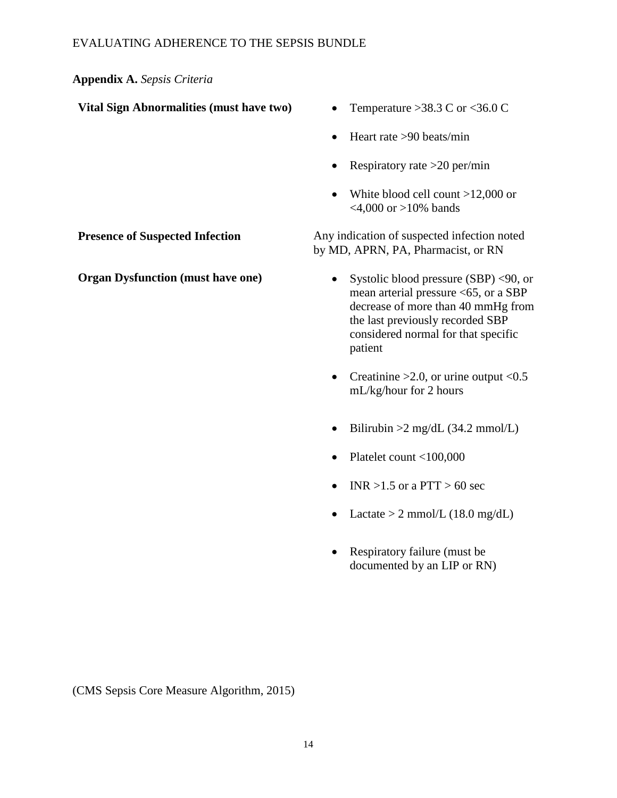## **Appendix A.** *Sepsis Criteria*

| Vital Sign Abnormalities (must have two) |  |
|------------------------------------------|--|
|------------------------------------------|--|

- Temperature  $>38.3$  C or  $<$ 36.0 C
- $\bullet$  Heart rate >90 beats/min
- Respiratory rate  $>20$  per/min
- White blood cell count >12,000 or  $<$ 4,000 or >10% bands

**Presence of Suspected Infection** Any indication of suspected infection noted by MD, APRN, PA, Pharmacist, or RN

- **Organ Dysfunction (must have one)** Systolic blood pressure (SBP) <90, or mean arterial pressure <65, or a SBP decrease of more than 40 mmHg from the last previously recorded SBP considered normal for that specific patient
	- Creatinine  $>2.0$ , or urine output <0.5 mL/kg/hour for 2 hours
	- Bilirubin  $>2$  mg/dL (34.2 mmol/L)
	- Platelet count  $<$ 100,000
	- $\bullet$  INR >1.5 or a PTT > 60 sec
	- Lactate > 2 mmol/L  $(18.0 \text{ mg/dL})$
	- Respiratory failure (must be documented by an LIP or RN)

(CMS Sepsis Core Measure Algorithm, 2015)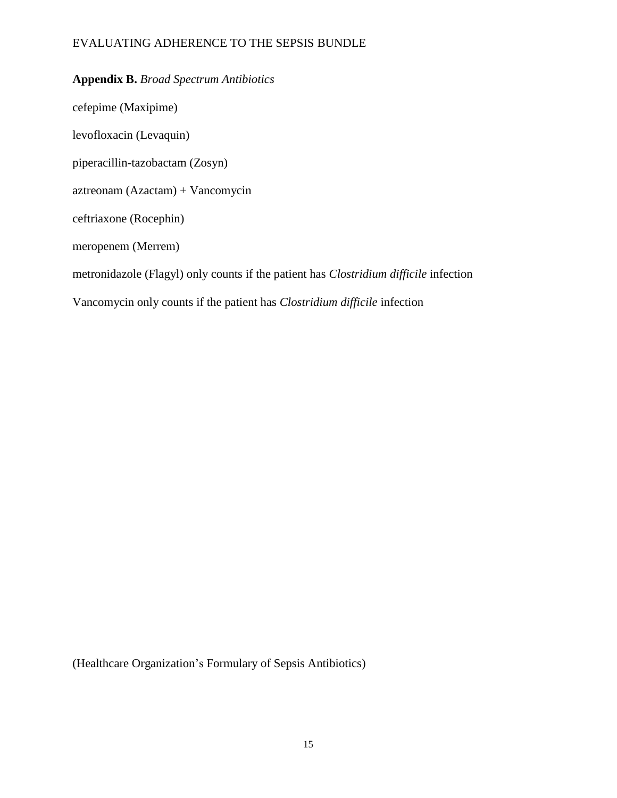## **Appendix B.** *Broad Spectrum Antibiotics*

cefepime (Maxipime) levofloxacin (Levaquin) piperacillin-tazobactam (Zosyn) aztreonam (Azactam) + Vancomycin ceftriaxone (Rocephin) meropenem (Merrem) metronidazole (Flagyl) only counts if the patient has *Clostridium difficile* infection Vancomycin only counts if the patient has *Clostridium difficile* infection

(Healthcare Organization's Formulary of Sepsis Antibiotics)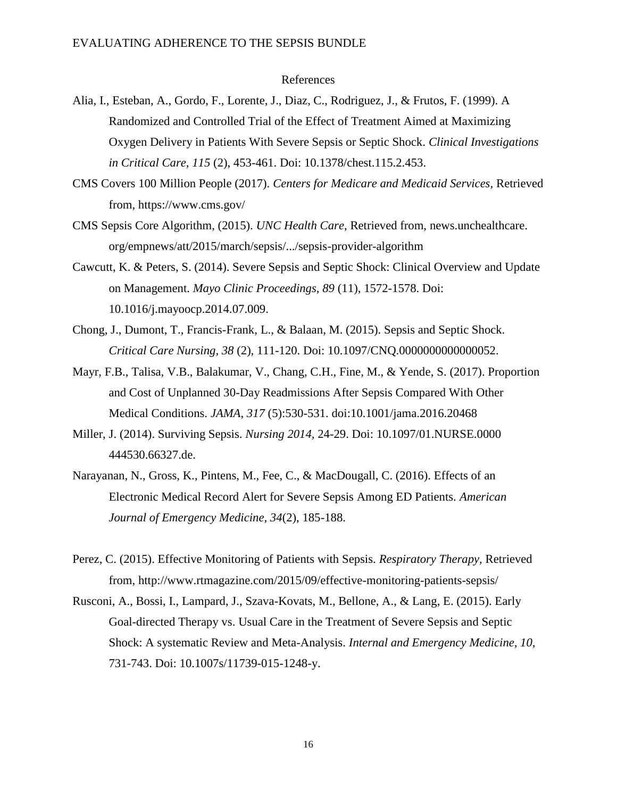#### References

- Alia, I., Esteban, A., Gordo, F., Lorente, J., Diaz, C., Rodriguez, J., & Frutos, F. (1999). A Randomized and Controlled Trial of the Effect of Treatment Aimed at Maximizing Oxygen Delivery in Patients With Severe Sepsis or Septic Shock. *Clinical Investigations in Critical Care, 115* (2), 453-461. Doi: 10.1378/chest.115.2.453.
- CMS Covers 100 Million People (2017). *Centers for Medicare and Medicaid Services,* Retrieved from, https://www.cms.gov/
- CMS Sepsis Core Algorithm, (2015). *UNC Health Care,* Retrieved from, news.unchealthcare. org/empnews/att/2015/march/sepsis/.../sepsis-provider-algorithm
- Cawcutt, K. & Peters, S. (2014). Severe Sepsis and Septic Shock: Clinical Overview and Update on Management. *Mayo Clinic Proceedings, 89* (11), 1572-1578. Doi: 10.1016/j.mayoocp.2014.07.009.
- Chong, J., Dumont, T., Francis-Frank, L., & Balaan, M. (2015). Sepsis and Septic Shock. *Critical Care Nursing, 38* (2), 111-120. Doi: 10.1097/CNQ.0000000000000052.
- Mayr, F.B., Talisa, V.B., Balakumar, V., Chang, C.H., Fine, M., & Yende, S. (2017). Proportion and Cost of Unplanned 30-Day Readmissions After Sepsis Compared With Other Medical Conditions. *JAMA*, *317* (5):530-531. doi:10.1001/jama.2016.20468
- Miller, J. (2014). Surviving Sepsis. *Nursing 2014,* 24-29. Doi: 10.1097/01.NURSE.0000 444530.66327.de.
- Narayanan, N., Gross, K., Pintens, M., Fee, C., & MacDougall, C. (2016). Effects of an Electronic Medical Record Alert for Severe Sepsis Among ED Patients. *American Journal of Emergency Medicine, 34*(2), 185-188.
- Perez, C. (2015). Effective Monitoring of Patients with Sepsis. *Respiratory Therapy,* Retrieved from, http://www.rtmagazine.com/2015/09/effective-monitoring-patients-sepsis/
- Rusconi, A., Bossi, I., Lampard, J., Szava-Kovats, M., Bellone, A., & Lang, E. (2015). Early Goal-directed Therapy vs. Usual Care in the Treatment of Severe Sepsis and Septic Shock: A systematic Review and Meta-Analysis. *Internal and Emergency Medicine, 10,*  731-743. Doi: 10.1007s/11739-015-1248-y.